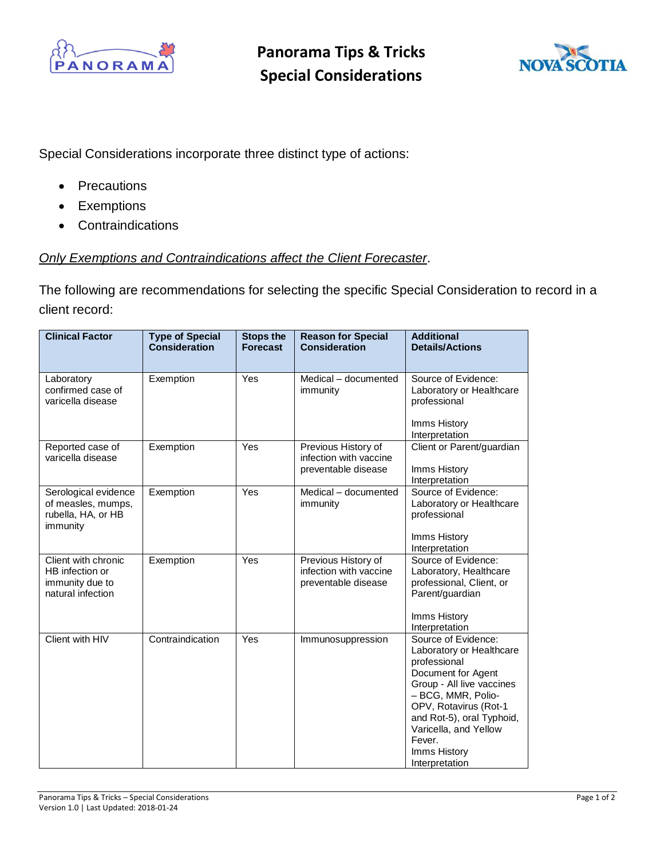

**Panorama Tips & Tricks Special Considerations**



Special Considerations incorporate three distinct type of actions:

- Precautions
- Exemptions
- Contraindications

## *Only Exemptions and Contraindications affect the Client Forecaster*.

The following are recommendations for selecting the specific Special Consideration to record in a client record:

| <b>Clinical Factor</b>                                                         | <b>Type of Special</b><br><b>Consideration</b> | <b>Stops the</b><br><b>Forecast</b> | <b>Reason for Special</b><br><b>Consideration</b>                    | <b>Additional</b><br><b>Details/Actions</b>                                                                                                                                                                                                                         |
|--------------------------------------------------------------------------------|------------------------------------------------|-------------------------------------|----------------------------------------------------------------------|---------------------------------------------------------------------------------------------------------------------------------------------------------------------------------------------------------------------------------------------------------------------|
| Laboratory<br>confirmed case of<br>varicella disease                           | Exemption                                      | Yes                                 | Medical - documented<br>immunity                                     | Source of Evidence:<br>Laboratory or Healthcare<br>professional<br>Imms History<br>Interpretation                                                                                                                                                                   |
| Reported case of<br>varicella disease                                          | Exemption                                      | Yes                                 | Previous History of<br>infection with vaccine<br>preventable disease | Client or Parent/guardian<br>Imms History<br>Interpretation                                                                                                                                                                                                         |
| Serological evidence<br>of measles, mumps,<br>rubella, HA, or HB<br>immunity   | Exemption                                      | Yes                                 | Medical - documented<br>immunity                                     | Source of Evidence:<br>Laboratory or Healthcare<br>professional<br>Imms History<br>Interpretation                                                                                                                                                                   |
| Client with chronic<br>HB infection or<br>immunity due to<br>natural infection | Exemption                                      | Yes                                 | Previous History of<br>infection with vaccine<br>preventable disease | Source of Evidence:<br>Laboratory, Healthcare<br>professional, Client, or<br>Parent/guardian<br>Imms History<br>Interpretation                                                                                                                                      |
| Client with HIV                                                                | Contraindication                               | Yes                                 | Immunosuppression                                                    | Source of Evidence:<br>Laboratory or Healthcare<br>professional<br>Document for Agent<br>Group - All live vaccines<br>- BCG, MMR, Polio-<br>OPV, Rotavirus (Rot-1<br>and Rot-5), oral Typhoid,<br>Varicella, and Yellow<br>Fever.<br>Imms History<br>Interpretation |